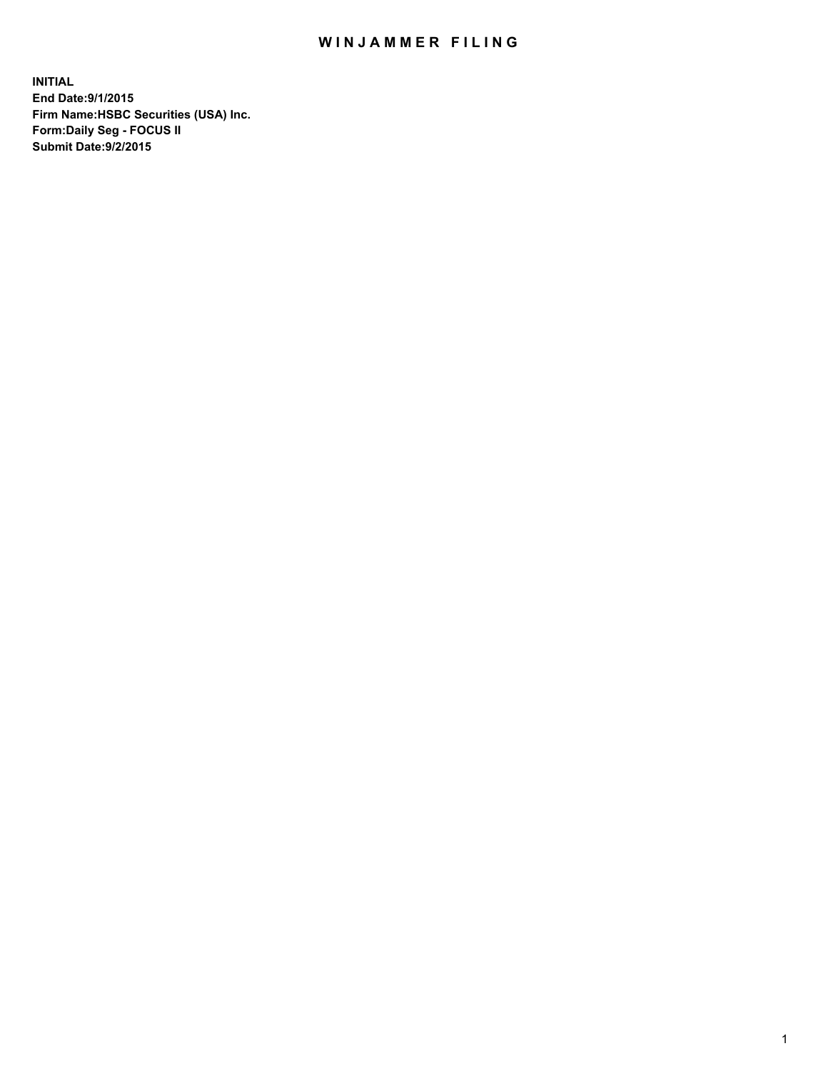## WIN JAMMER FILING

**INITIAL End Date:9/1/2015 Firm Name:HSBC Securities (USA) Inc. Form:Daily Seg - FOCUS II Submit Date:9/2/2015**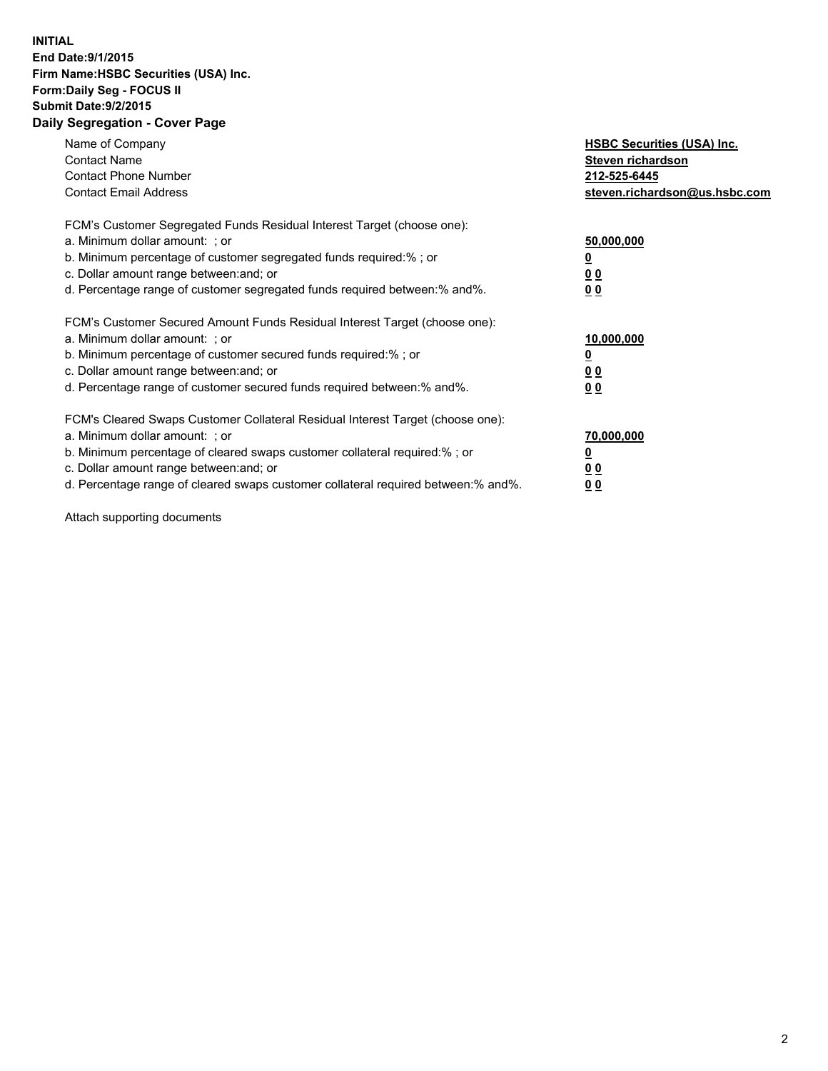## **INITIAL End Date:9/1/2015 Firm Name:HSBC Securities (USA) Inc. Form:Daily Seg - FOCUS II Submit Date:9/2/2015 Daily Segregation - Cover Page**

| Name of Company<br><b>Contact Name</b><br><b>Contact Phone Number</b><br><b>Contact Email Address</b>                                                                                                                                                                                                                         | <b>HSBC Securities (USA) Inc.</b><br>Steven richardson<br>212-525-6445<br>steven.richardson@us.hsbc.com |
|-------------------------------------------------------------------------------------------------------------------------------------------------------------------------------------------------------------------------------------------------------------------------------------------------------------------------------|---------------------------------------------------------------------------------------------------------|
| FCM's Customer Segregated Funds Residual Interest Target (choose one):<br>a. Minimum dollar amount: ; or<br>b. Minimum percentage of customer segregated funds required:% ; or<br>c. Dollar amount range between: and; or<br>d. Percentage range of customer segregated funds required between: % and %.                      | 50,000,000<br>00<br>0 <sub>0</sub>                                                                      |
| FCM's Customer Secured Amount Funds Residual Interest Target (choose one):<br>a. Minimum dollar amount: ; or<br>b. Minimum percentage of customer secured funds required:%; or<br>c. Dollar amount range between: and; or<br>d. Percentage range of customer secured funds required between:% and%.                           | 10,000,000<br>0 <sub>0</sub><br>0 <sub>0</sub>                                                          |
| FCM's Cleared Swaps Customer Collateral Residual Interest Target (choose one):<br>a. Minimum dollar amount: ; or<br>b. Minimum percentage of cleared swaps customer collateral required:%; or<br>c. Dollar amount range between: and; or<br>d. Percentage range of cleared swaps customer collateral required between:% and%. | 70,000,000<br>0 <sub>0</sub><br>00                                                                      |

Attach supporting documents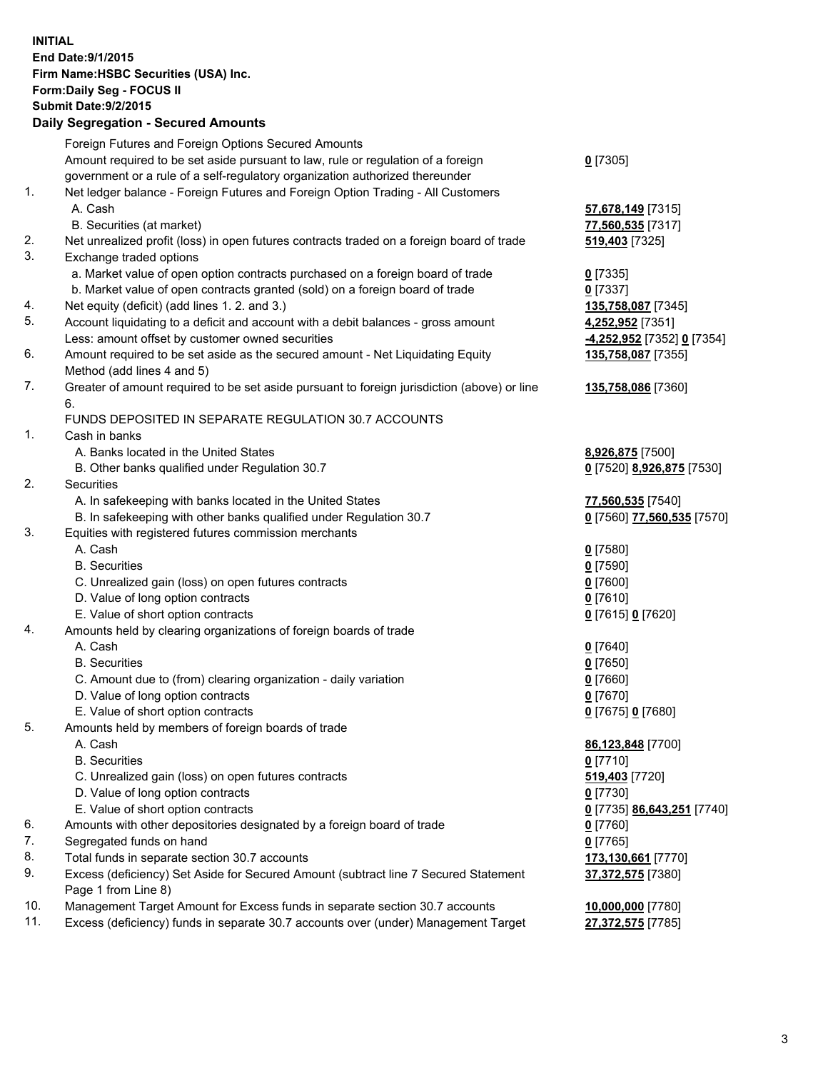**INITIAL End Date:9/1/2015 Firm Name:HSBC Securities (USA) Inc. Form:Daily Seg - FOCUS II Submit Date:9/2/2015 Daily Segregation - Secured Amounts** Foreign Futures and Foreign Options Secured Amounts Amount required to be set aside pursuant to law, rule or regulation of a foreign government or a rule of a self-regulatory organization authorized thereunder **0** [7305] 1. Net ledger balance - Foreign Futures and Foreign Option Trading - All Customers A. Cash **57,678,149** [7315] B. Securities (at market) **77,560,535** [7317] 2. Net unrealized profit (loss) in open futures contracts traded on a foreign board of trade **519,403** [7325] 3. Exchange traded options a. Market value of open option contracts purchased on a foreign board of trade **0** [7335] b. Market value of open contracts granted (sold) on a foreign board of trade **0** [7337] 4. Net equity (deficit) (add lines 1. 2. and 3.) **135,758,087** [7345] 5. Account liquidating to a deficit and account with a debit balances - gross amount **4,252,952** [7351] Less: amount offset by customer owned securities **-4,252,952** [7352] **0** [7354] 6. Amount required to be set aside as the secured amount - Net Liquidating Equity Method (add lines 4 and 5) **135,758,087** [7355] 7. Greater of amount required to be set aside pursuant to foreign jurisdiction (above) or line 6. **135,758,086** [7360] FUNDS DEPOSITED IN SEPARATE REGULATION 30.7 ACCOUNTS 1. Cash in banks A. Banks located in the United States **8,926,875** [7500] B. Other banks qualified under Regulation 30.7 **0** [7520] **8,926,875** [7530] 2. Securities A. In safekeeping with banks located in the United States **77,560,535** [7540] B. In safekeeping with other banks qualified under Regulation 30.7 **0** [7560] **77,560,535** [7570] 3. Equities with registered futures commission merchants A. Cash **0** [7580] B. Securities **0** [7590] C. Unrealized gain (loss) on open futures contracts **0** [7600] D. Value of long option contracts **0** [7610] E. Value of short option contracts **0** [7615] **0** [7620] 4. Amounts held by clearing organizations of foreign boards of trade A. Cash **0** [7640] B. Securities **0** [7650] C. Amount due to (from) clearing organization - daily variation **0** [7660] D. Value of long option contracts **0** [7670] E. Value of short option contracts **0** [7675] **0** [7680] 5. Amounts held by members of foreign boards of trade A. Cash **86,123,848** [7700] B. Securities **0** [7710] C. Unrealized gain (loss) on open futures contracts **519,403** [7720] D. Value of long option contracts **0** [7730] E. Value of short option contracts **0** [7735] **86,643,251** [7740] 6. Amounts with other depositories designated by a foreign board of trade **0** [7760] 7. Segregated funds on hand **0** [7765] 8. Total funds in separate section 30.7 accounts **173,130,661** [7770] 9. Excess (deficiency) Set Aside for Secured Amount (subtract line 7 Secured Statement Page 1 from Line 8) **37,372,575** [7380] 10. Management Target Amount for Excess funds in separate section 30.7 accounts **10,000,000** [7780]

11. Excess (deficiency) funds in separate 30.7 accounts over (under) Management Target **27,372,575** [7785]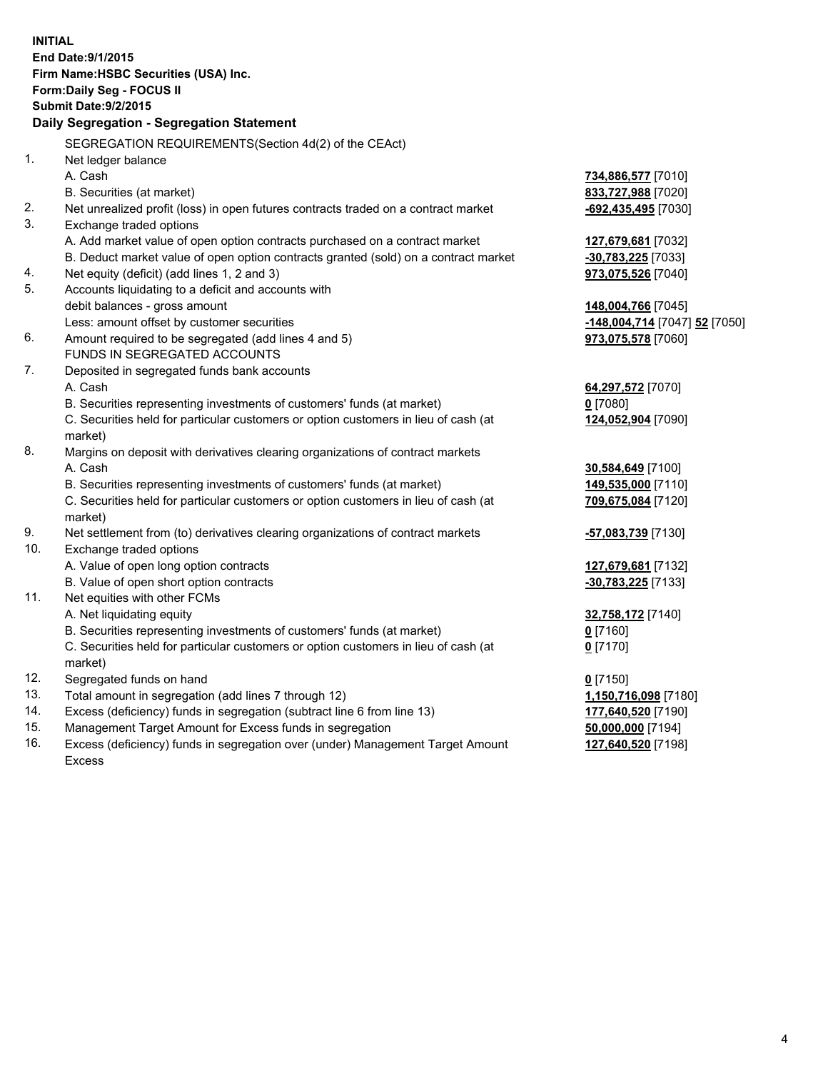| <b>INITIAL</b> | End Date: 9/1/2015<br>Firm Name: HSBC Securities (USA) Inc.<br>Form: Daily Seg - FOCUS II<br><b>Submit Date: 9/2/2015</b><br>Daily Segregation - Segregation Statement |                               |
|----------------|------------------------------------------------------------------------------------------------------------------------------------------------------------------------|-------------------------------|
|                | SEGREGATION REQUIREMENTS(Section 4d(2) of the CEAct)                                                                                                                   |                               |
| 1.             | Net ledger balance                                                                                                                                                     |                               |
|                | A. Cash                                                                                                                                                                | 734,886,577 [7010]            |
|                | B. Securities (at market)                                                                                                                                              | 833,727,988 [7020]            |
| 2.             | Net unrealized profit (loss) in open futures contracts traded on a contract market                                                                                     | -692,435,495 [7030]           |
| 3.             | Exchange traded options                                                                                                                                                |                               |
|                | A. Add market value of open option contracts purchased on a contract market                                                                                            | 127,679,681 [7032]            |
|                | B. Deduct market value of open option contracts granted (sold) on a contract market                                                                                    | -30,783,225 [7033]            |
| 4.             | Net equity (deficit) (add lines 1, 2 and 3)                                                                                                                            | 973,075,526 [7040]            |
| 5.             | Accounts liquidating to a deficit and accounts with                                                                                                                    |                               |
|                | debit balances - gross amount                                                                                                                                          | 148,004,766 [7045]            |
|                | Less: amount offset by customer securities                                                                                                                             | -148,004,714 [7047] 52 [7050] |
| 6.             | Amount required to be segregated (add lines 4 and 5)                                                                                                                   | 973,075,578 [7060]            |
|                | FUNDS IN SEGREGATED ACCOUNTS                                                                                                                                           |                               |
| 7.             | Deposited in segregated funds bank accounts                                                                                                                            |                               |
|                | A. Cash                                                                                                                                                                | 64,297,572 [7070]             |
|                | B. Securities representing investments of customers' funds (at market)                                                                                                 | $0$ [7080]                    |
|                | C. Securities held for particular customers or option customers in lieu of cash (at<br>market)                                                                         | 124,052,904 [7090]            |
| 8.             | Margins on deposit with derivatives clearing organizations of contract markets                                                                                         |                               |
|                | A. Cash                                                                                                                                                                | 30,584,649 [7100]             |
|                | B. Securities representing investments of customers' funds (at market)                                                                                                 | 149,535,000 [7110]            |
|                | C. Securities held for particular customers or option customers in lieu of cash (at                                                                                    | 709,675,084 [7120]            |
|                | market)                                                                                                                                                                |                               |
| 9.             | Net settlement from (to) derivatives clearing organizations of contract markets                                                                                        | <u>-57,083,739</u> [7130]     |
| 10.            | Exchange traded options                                                                                                                                                |                               |
|                | A. Value of open long option contracts                                                                                                                                 | 127,679,681 [7132]            |
|                | B. Value of open short option contracts                                                                                                                                | -30,783,225 [7133]            |
| 11.            | Net equities with other FCMs                                                                                                                                           |                               |
|                | A. Net liquidating equity                                                                                                                                              | 32,758,172 [7140]             |
|                | B. Securities representing investments of customers' funds (at market)                                                                                                 | <u>0</u> [7160]               |
|                | C. Securities held for particular customers or option customers in lieu of cash (at                                                                                    | $0$ [7170]                    |
|                | market)                                                                                                                                                                |                               |
| 12.            | Segregated funds on hand                                                                                                                                               | $0$ [7150]                    |
| 13.            | Total amount in segregation (add lines 7 through 12)                                                                                                                   | 1,150,716,098 [7180]          |
| 14.            | Excess (deficiency) funds in segregation (subtract line 6 from line 13)                                                                                                | 177,640,520 [7190]            |
| 15.            | Management Target Amount for Excess funds in segregation                                                                                                               | 50,000,000 [7194]             |
| 16.            | Excess (deficiency) funds in segregation over (under) Management Target Amount                                                                                         | 127,640,520 [7198]            |

16. Excess (deficiency) funds in segregation over (under) Management Target Amount Excess